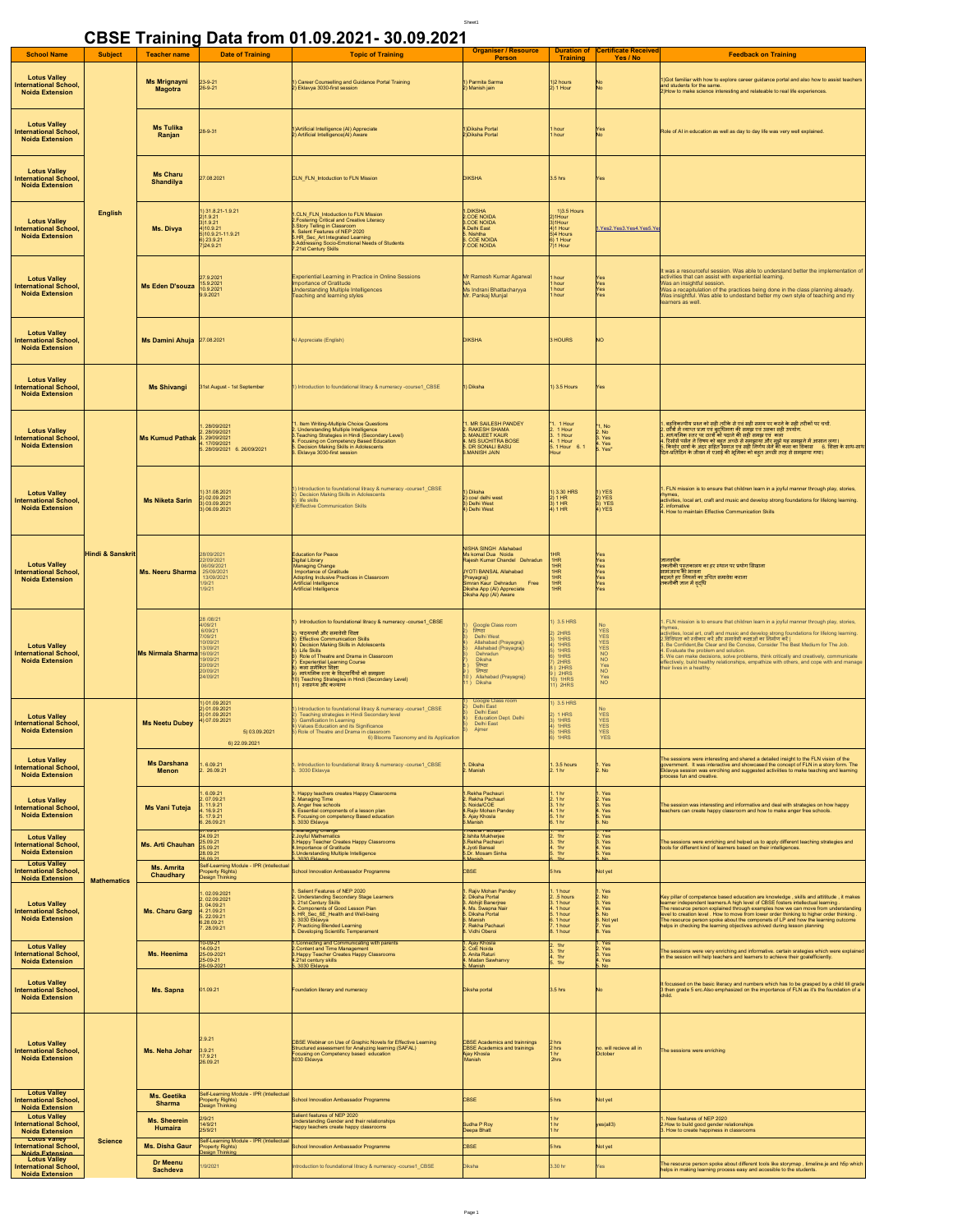|                                                                                                         |                             |                                       |                                                                                                         | CBSE Training Data from 01.09.2021-30.09.2021                                                                                                                                                                                                                                                                                                                                                                                    |                                                                                                                                                                                                                 |                                                                                             |                                                                                    |                                                                                                                                                                                                                                                                                                                                                                                                                                                                                                                                                                                                                             |
|---------------------------------------------------------------------------------------------------------|-----------------------------|---------------------------------------|---------------------------------------------------------------------------------------------------------|----------------------------------------------------------------------------------------------------------------------------------------------------------------------------------------------------------------------------------------------------------------------------------------------------------------------------------------------------------------------------------------------------------------------------------|-----------------------------------------------------------------------------------------------------------------------------------------------------------------------------------------------------------------|---------------------------------------------------------------------------------------------|------------------------------------------------------------------------------------|-----------------------------------------------------------------------------------------------------------------------------------------------------------------------------------------------------------------------------------------------------------------------------------------------------------------------------------------------------------------------------------------------------------------------------------------------------------------------------------------------------------------------------------------------------------------------------------------------------------------------------|
| <b>School Name</b>                                                                                      | <b>Subject</b>              | <b>Teacher name</b>                   | <b>Date of Training</b>                                                                                 | <b>Topic of Training</b>                                                                                                                                                                                                                                                                                                                                                                                                         | <b>Organiser / Resource</b><br><b>Person</b>                                                                                                                                                                    | <b>Duration of</b><br><b>Training</b>                                                       | <b>Certificate Received</b><br>Yes / No                                            | <b>Feedback on Training</b>                                                                                                                                                                                                                                                                                                                                                                                                                                                                                                                                                                                                 |
| <b>Lotus Valley</b><br><b>International School,</b><br><b>Noida Extension</b>                           | <b>English</b>              | <b>Ms Mrignayni</b><br><b>Magotra</b> | 23-9-21<br>26-9-21                                                                                      | 1) Career Counselling and Guidance Portal Training<br>2) Eklavya 3030-first session                                                                                                                                                                                                                                                                                                                                              | 1) Parmita Sarma<br>2) Manish jain                                                                                                                                                                              | 1)2 hours<br>2) 1 Hour                                                                      | No<br>No                                                                           | 1)Got familiar with how to explore career guidance portal and also how to assist teachers<br>and students for the same.<br>2)How to make science interesting and relateable to real life experiences.                                                                                                                                                                                                                                                                                                                                                                                                                       |
| <b>Lotus Valley</b><br><b>International School,</b><br><b>Noida Extension</b>                           |                             | <b>Ms Tulika</b><br>Ranjan            | 28-9-31                                                                                                 | )Artificial Intelligence (AI) Appreciate<br>2) Artificial Intelligence(AI) Aware                                                                                                                                                                                                                                                                                                                                                 | Diksha Portal<br>Diksha Porta                                                                                                                                                                                   | hour<br>hour                                                                                | Yes<br>No                                                                          | Role of AI in education as well as day to day life was very well explained.                                                                                                                                                                                                                                                                                                                                                                                                                                                                                                                                                 |
| <b>Lotus Valley</b><br><b>International School,</b><br><b>Noida Extension</b>                           |                             | <b>Ms Charu</b><br><b>Shandilya</b>   | 27.08.2021                                                                                              | CLN_FLN_Intoduction to FLN Mission                                                                                                                                                                                                                                                                                                                                                                                               | <b>DIKSHA</b>                                                                                                                                                                                                   | $3.5$ hrs                                                                                   | Yes                                                                                |                                                                                                                                                                                                                                                                                                                                                                                                                                                                                                                                                                                                                             |
| <b>Lotus Valley</b><br><b>International School,</b><br><b>Noida Extension</b>                           |                             | Ms. Divya                             | ) 31.8.21-1.9.21<br>2)1.9.21<br>$3)1.9.21$<br>4) 10.9.21<br>(10.9.21-11.9.2)<br>6) 23.9.21<br>7)24.9.21 | .CLN_FLN_Intoduction to FLN Mission<br>2. Fostering Critical and Creative Literacy<br>3. Story Telling in Classroom<br>Salent Features of NEP 2020<br>HR_Sec_Art Integrated Learning<br>5.Addressing Socio-Emotional Needs of Students<br>21st Century Skills                                                                                                                                                                    | .DIKSHA<br>2.COE NOIDA<br>3.COE NOIDA<br>4.Delhi East<br>.<br>Nishtha<br>. COE NOIDA<br>COE NOIDA                                                                                                               | 1)3.5 Hours<br>1Hour<br>.,<br>})1Hour<br>})1 Hour<br>5)4 Hours<br>6) 1 Hour<br>1 Hour       | Yes2.Yes3.Yes4.Yes5.Ye                                                             |                                                                                                                                                                                                                                                                                                                                                                                                                                                                                                                                                                                                                             |
| <b>Lotus Valley</b><br><b>International School,</b><br><b>Noida Extension</b>                           |                             | <b>Ms Eden D'souza</b>                | 27.9.2021<br>15.9.2021<br>10.9.2021<br>9.9.2021                                                         | <b>Experiential Learning in Practice in Online Sessions</b><br>nportance of Gratitude<br><b>Inderstanding Multiple Intelligences</b><br>eaching and learning styles                                                                                                                                                                                                                                                              | Mr Ramesh Kumar Agarwal<br>Ms Indrani Bhattacharyya<br>Mr. Pankaj Munjal                                                                                                                                        | hour<br>hour<br>hour<br>hour                                                                | Yes<br>Yes<br>Yes<br>Yes                                                           | It was a resourceful session. Was able to understand better the implementation of<br>activities that can assist with experiential learning.<br>Was an insightful session.<br>Was a recapitulation of the practices being done in the class planning already<br>Was insightful. Was able to undestand better my own style of teaching and my<br>learners as well.                                                                                                                                                                                                                                                            |
| <b>Lotus Valley</b><br><b>International School</b><br><b>Noida Extension</b>                            |                             | Ms Damini Ahuja 27.08.2021            |                                                                                                         | Al Appreciate (English)                                                                                                                                                                                                                                                                                                                                                                                                          | <b>DIKSHA</b>                                                                                                                                                                                                   | <b>HOURS</b>                                                                                | NO                                                                                 |                                                                                                                                                                                                                                                                                                                                                                                                                                                                                                                                                                                                                             |
| <b>Lotus Valley</b><br><b>International School,</b><br><b>Noida Extension</b>                           |                             | <b>Ms Shivangi</b>                    | 31st August - 1st September                                                                             | ) Introduction to foundational litracy & numeracy -course1 CBSE                                                                                                                                                                                                                                                                                                                                                                  | 1) Diksha                                                                                                                                                                                                       | ) 3.5 Hours                                                                                 | Yes                                                                                |                                                                                                                                                                                                                                                                                                                                                                                                                                                                                                                                                                                                                             |
| <b>Lotus Valley</b><br><b>International School,</b><br><b>Noida Extension</b>                           | <b>Hindi &amp; Sanskrit</b> | Ms Kumud Pathak 3. 29/09/2021         | 28/09/2021<br>28/09/2021<br>1.17/09/2021<br>28/09/2021 6.26/09/2021                                     | I. Item Writing-Multiple Choice Questions<br>Understanding Multiple Intelligence<br>Teaching Strategies in Hindi (Secondary Level)<br>Focusing on Competency Based Education<br>Decision Making Skills in Adolescents<br>Eklavya 3030-first session                                                                                                                                                                              | 1. MR SAILESH PANDEY<br>RAKESH SHAMA<br>MAN JEET KALIP<br><b>I. MS SUCHITRA BOSE</b><br>DR SONALI BASU<br>MIAL H2MAM.                                                                                           | 1 Hour<br>1 Hour<br>B.<br>1 Hour<br>5.1 Hour 6.1<br>our                                     | No.<br>No.<br>Yes<br>Yes<br>Yes <sup>*</sup>                                       | । बहुतिकरणिय पत्र को सही हाँसेक से एवं सही समय पर करने के सही हाँसीकों पर चर्चा.<br>2. छोँसे मैं स्वाप्त पता एवं ब्रहरीमिता की समझ एवं उसका सही उपयोग गिर्ने कर कराया।<br>4. रिसोर्स पर्सन ने विषय को बहुत अपने से समझाया और मुझे य                                                                                                                                                                                                                                                                                                                                                                                         |
| <b>Lotus Valley</b><br><b>International School,</b><br><b>Noida Extension</b>                           |                             | <b>Ms Niketa Sarin</b>                | 1) 31.08.2021<br>2) 02.09.2021<br>03.09.2021<br>3) 06.09.2021                                           | Introduction to foundational litracy & numeracy -course1_CBSE<br>Decision Making Skills in Adolescents<br>life skills<br>1) Effective Communication Skills                                                                                                                                                                                                                                                                       | ) Diksha<br>2) coe/ delhi west<br>3) Delhi West<br>4) Delhi West                                                                                                                                                | 1) 3.30 HRS<br>2) 1 HR<br>1HR<br>4) 1 HR                                                    | ) YES<br>) YES<br>3) YES<br>I) YES                                                 | . FLN mission is to ensure that children learn in a joyful manner through play, stories<br><b>wmes</b><br>activities, local art, craft and music and develop strong foundations for lifelong learning.<br>. infomative<br>4. How to maintain Effective Communication Skills                                                                                                                                                                                                                                                                                                                                                 |
| <b>Lotus Valley</b><br><b>International School</b><br><b>Noida Extension</b>                            |                             | Ms. Neeru Sharma                      | 8/09/2021<br>22/09/2021<br>6/09/2021<br>25/09/202<br>13/09/202<br>19/21<br>19/21                        | ducation for Peace<br>Digital Library<br>Managing Change<br>Importance of Gratitude<br>Adopting Inclusive Practices in Classroom<br>Artificial Intelligence<br>Artificial Intelligence                                                                                                                                                                                                                                           | NISHA SINGH Allahabad<br>Ms komal Dua Nolda<br>Raiesh Kumar Chandel Dehradun<br><b>JYOTI BANSAL Allahabad</b><br>Prayagraj)<br>Simran Kaur Dehradun Free<br>Diksha App (AI) Appreciate<br>Diksha App (AI) Aware | HR<br><b>HR</b><br>HR<br><b>HR</b><br>HR<br><b>HR</b><br><b>HR</b>                          | Yes<br>Yes<br>Yes<br>Yes<br>Yes<br>Yes                                             | <u> ਗਰਜ਼ਰ ਪੈਰ</u><br>तकनीकी पुस्तकालय का हर स्थान पर प्रयोग सिखाना<br>सामंजस्य की भावना<br>स्टलते हुए नियमों का उचित समावेश कराना<br>तकनीकी ज्ञान में वृद्धि                                                                                                                                                                                                                                                                                                                                                                                                                                                                |
| <b>Lotus Valley</b><br><b>International School</b><br><b>Noida Extension</b>                            |                             | <b>Ms Nirmala Sharma</b>              | 28/08/21<br>4/09/21<br>6/09/21<br>09/21<br>$109/2^+$<br>6/09/21<br><b>VO9/2</b><br>0/09/21<br>24/09/21  | Introduction to foundational litracy & numeracy -course1_CBSE<br>। पाठयचर्या और समावेशी शिक्षा<br>। Effective Communication Skills<br>Decision Making Skills in Adolescents<br><b>Life Skills</b><br>Role of Theatre and Drama in Classroom<br><b>Experiential Learning Course</b><br>कला समेकित शिक्षा<br>माध्यमिक स्तर के विद्यार्थियों को समझना<br>)) Teaching Strategies in Hindi (Secondary Level)<br>) स्वास्थ्य और कल्याण | Google Class room<br>निष्ठा<br>Delhi West<br>Allahabad (Pravagrai)<br>Allahabad (Prayagraj)<br>Dehradun<br>Diksha<br>निष्ठा<br>निष्ठा<br>Allahabad (Prayagrai)<br>Diksha                                        | 3.5 HRS<br>2HRS<br>1HRS<br>1HRS<br>1HRS<br>1HRS<br>2HRS<br>2HRS<br>$0$ 1HRS<br>1) 2HRS      | No<br>YES<br>YES<br>YES<br>YES<br><b>NO</b><br>NO<br>Yes<br>NO<br>Yes<br><b>NO</b> | FLN mission is to ensure that children learn in a joyful manner through play, stories,<br><b>wmes</b><br>ye<br>activities, local art, craft and music and develop strong foundations for lifelong learning.<br>2.विविधता को स्वीकार करें और समावेशी कक्षाओं का निर्माण करें  <br>Be Confident, Be Clear and Be Concise, Consider The Best Medium for The Job.<br>Evaluate the problem and solution.<br>.<br>5. We can make decisions, solve problems, think critically and creatively, communicate<br>effectively, build healthy relationships, empathize with others, and cope with and manage<br>their lives in a healthy |
| <b>Lotus Valley</b><br><b>International School,</b><br><b>Noida Extension</b>                           | <b>Mathematics</b>          | <b>Ms Neetu Dubey</b>                 | 1) 01.09.2021<br>2) 01.09.2021<br>3) 01.09.2021<br>) 07.09.2021<br>5) 03.09.2021<br>6) 22.09.2021       | Introduction to foundational litracy & numeracy -course1_CBSE<br>Teaching strategies in Hindi Secondary level<br>Gamification In Learning<br>Values Education and its Significance<br>Note of Theatre and Drama in classroon<br>6) Blooms Taxonomy and its Application                                                                                                                                                           | Google Class<br>Delhi East<br>Education Dept. Delhi<br>Delhi East<br>Ajmer                                                                                                                                      | 1) 3.5 HRS<br>$2)$ 1 HRS<br>1HRS<br>4) 1HRS<br>5) 1HRS<br>1HRS                              | No<br><b>YES</b><br>ΈS<br>YES<br>YES<br><b>YES</b>                                 |                                                                                                                                                                                                                                                                                                                                                                                                                                                                                                                                                                                                                             |
| <b>Lotus Valley</b><br><b>International School,</b><br><b>Noida Extension</b>                           |                             | <b>Ms Darshana</b><br>Menon           | .6.09.21<br>2. 26.09.21                                                                                 | Introduction to foundational litracy & numeracy -course1_CBSE<br>3030 Eklavya                                                                                                                                                                                                                                                                                                                                                    | . Diksha<br>2. Manish                                                                                                                                                                                           | 3.5 hours<br>2.1 <sub>hr</sub>                                                              | . Yes<br>. No                                                                      | The sessions were interesting and shared a detailed insight to the FLN vision of the<br>structure in the interactive and showcased the concept of FLN in a story form. The<br>Eklavya session was enriching and suggested activities to make teaching and learning<br>ocess fun and creative                                                                                                                                                                                                                                                                                                                                |
| <b>Lotus Valley</b><br><b>International School</b><br><b>Noida Extension</b>                            |                             | Ms Vani Tuteja                        | .6.09.21<br>07.09.21<br>4 16 9 21<br>17.9.21<br>26.09.21<br>09.2                                        | Happy teachers creates Happy Classrooms<br>Managing Time<br>Anger free schools<br>Essential components of a lesson plan<br>Focusing on competency Based education<br>3030 Eklavya<br>ranaging chang                                                                                                                                                                                                                              | Rekha Pachauri<br>2. Rekha Pachauri<br>3. Nolda/COE<br>4.Rajiv Mohan Pandey<br>. Ajay Khosla<br>Manish<br><b>Reiona Prach</b>                                                                                   | .1 <sub>hr</sub><br>$2.1 \text{ hr}$<br>3. 1 hr<br>i 1 hr<br>i 1 hr<br>1 <sub>hr</sub><br>π | Yes<br>. Yes<br>. Yes<br>. Yes<br>. Yes<br>. No<br>TES                             | The session was interesting and informative and deal with strategies on how happy<br>teachers can create happy classroom and how to make anger free schools.                                                                                                                                                                                                                                                                                                                                                                                                                                                                |
| <b>Lotus Valley</b><br><b>International School,</b><br><b>Noida Extension</b><br><b>Lotus Valley</b>    |                             | Ms. Arti Chauhan                      | 24.09.21<br>25.09.21<br>25.09.21<br>28.09.21<br>8.00.21                                                 | <b>Joyful Mathematics</b><br>Happy Teacher Creates Happy Classrooms<br>Importance of Gratitude<br>I.Understanding Multiple Intelligence                                                                                                                                                                                                                                                                                          | Ishita Mukherjee<br>Rekha Pachauri<br>1.Jyoti Bansal<br>5.Dr. Mosam Sinha                                                                                                                                       | $\frac{1}{1}$<br>$\frac{1}{1}$ hr                                                           | . Yes<br>. Yes<br>Yes<br>Yes                                                       | The sessions were enriching and helped us to apply different teaching strategies and<br>tools for different kind of learners based on their intelligences.                                                                                                                                                                                                                                                                                                                                                                                                                                                                  |
| <b>International School,</b><br><b>Noida Extension</b>                                                  |                             | <b>Ms. Amrita</b><br>Chaudhary        | Self-Learning Module - IPR (Intellectual<br>Property Rights)<br>Design Thinking                         | School Innovation Ambassador Programme                                                                                                                                                                                                                                                                                                                                                                                           | CBSE                                                                                                                                                                                                            | 5 hrs                                                                                       | Not yet                                                                            |                                                                                                                                                                                                                                                                                                                                                                                                                                                                                                                                                                                                                             |
| <b>Lotus Valley</b><br><b>International School,</b><br><b>Noida Extension</b>                           |                             | <b>Ms. Charu Garg</b>                 | 02.09.2021<br>02.09.2021<br>04.09.21<br>. 21.09.21<br>. 21.09.21<br>6.28.09.21<br>7. 28.09.21           | Salient Features of NEP 2020<br>Understanding Secondary Stage Learners<br>21st Century Skills<br>Components of Good Lesson Plan<br>HR_Sec_6E_Health and Well-being<br>.3030 Eklavva<br>Practicing Blended Learning<br>Developing Scientific Temperament                                                                                                                                                                          | Rajiv Mohan Pandey<br>. Diksha Portal<br>. Abhijit Banerjree<br>s: Abrigit Burleyce<br>1. Ms. Swapna Nair<br>5. Diksha Portal<br>3. Manish<br>Rekha Pachauri<br>. Vidhi Oberoi                                  | 1 hour<br>.5 hours<br>.1 hour<br>1 hour<br>1 hour<br>6.1 hour<br>1 hour<br>1 hour           | Yes<br>. No<br>. Yes<br>Yes<br>No<br>6. Not yet<br>Yes<br>. Yes                    | Key pillar of competence based education are knowledge , skills and attititude , it makes<br>learner independent learners.A high level of CBSE fosters intellectual learning .<br>The resource person explained through examples how we can move from understanding<br>level to creation level . How to move from lower order thinking to higher order thinking<br>The resource person spoke about the componets of LP and how the learning outcome<br>lelps in checking the learning objectives achived during lesson planning                                                                                             |
| <b>Lotus Valley</b><br><b>International School,</b><br><b>Noida Extension</b>                           |                             | Ms. Heenima                           | 0-09-2<br>4-09-21<br>25-09-2021<br>$5-09-21$<br>26-09-202                                               | Connecting and Communicating with parents<br>Content and Time Management<br>Happy Teacher Creates Happy Classrooms<br>21st century skills<br>3030 Eklavya                                                                                                                                                                                                                                                                        | . Ajay Khosla<br>CoE Noida<br>. Anita Raturi<br>Madan Sawhanvy<br>Manish                                                                                                                                        | 1hr<br>1hr<br>$\frac{1}{1}$ hr                                                              | Yes<br>. Yes<br>. Yes<br>Yes<br>No                                                 | The sessions were very enriching and informative. certain srategies which were explained<br>in the session will help teachers and learners to achieve their goalefficiently.                                                                                                                                                                                                                                                                                                                                                                                                                                                |
| <b>Lotus Valley</b><br><b>International School,</b><br><b>Noida Extension</b>                           |                             | Ms. Sapna                             | 01.09.21                                                                                                | Foundation literary and numeracy                                                                                                                                                                                                                                                                                                                                                                                                 | Diksha portal                                                                                                                                                                                                   | $3.5$ hrs                                                                                   |                                                                                    | It focussed on the basic literacy and numbers which has to be grasped by a child till grade<br>3 then grade 5 erc.Also emphasized on the importance of FLN as it's the foundation of a                                                                                                                                                                                                                                                                                                                                                                                                                                      |
| <b>Lotus Valley</b><br><b>International School,</b><br><b>Noida Extension</b>                           |                             | Ms. Neha Johar                        | 2.9.21<br>3.9.21<br>17.9.21<br>26.09.21                                                                 | CBSE Webinar on Use of Graphic Novels for Effective Learning<br>Structured assessment for Analyzing learning (SAFAL)<br>Focusing on Competency based education<br>3030 Eklavya                                                                                                                                                                                                                                                   | CBSE Academics and trainnings<br><b>CBSE Academics and trainings</b><br>Ajay Khosla<br>Manish                                                                                                                   | hrs<br>2 hrs<br>1 hr<br>2hrs                                                                | to, will recieve all in<br>ctober                                                  | The sessions were enriching                                                                                                                                                                                                                                                                                                                                                                                                                                                                                                                                                                                                 |
| <b>Lotus Valley</b><br><b>International School,</b>                                                     |                             | Ms. Geetika<br><b>Sharma</b>          | Self-Learning Module - IPR (Intellectual<br>Property Rights)<br>Design Thinking                         | School Innovation Ambassador Programme                                                                                                                                                                                                                                                                                                                                                                                           | <b>CRSF</b>                                                                                                                                                                                                     | 5 hrs                                                                                       | Not yet                                                                            |                                                                                                                                                                                                                                                                                                                                                                                                                                                                                                                                                                                                                             |
| <b>Noida Extension</b><br><b>Lotus Valley</b><br><b>International School,</b><br><b>Noida Extension</b> |                             | <b>Ms. Sheerein</b><br>Humaira        | 2/9/21<br>14/9/21<br>25/9/21                                                                            | Salient features of NEP 2020<br>Understanding Gender and their relationships<br>Happy teachers create happy classrooms                                                                                                                                                                                                                                                                                                           | Sudha P Roy<br>Jeepa Bhatt                                                                                                                                                                                      | 1 <sub>hr</sub><br>i hr<br>l hi                                                             | es(all3)                                                                           | New features of NEP 2020<br>How to build good gender relationships.<br>. How to create happiness in classrooms                                                                                                                                                                                                                                                                                                                                                                                                                                                                                                              |
| <b>Lotus Valley</b><br><b>International School.</b><br><b>Noida Extension</b>                           | <b>Science</b>              | Ms. Disha Gaur                        | Self-Learning Module - IPR (Intellectual<br>Property Rights)<br>Jesign Thinking                         | chool Innovation Ambassador Programme                                                                                                                                                                                                                                                                                                                                                                                            | <b>BSE</b>                                                                                                                                                                                                      | 5 hrs                                                                                       | <b>Vot yet</b>                                                                     |                                                                                                                                                                                                                                                                                                                                                                                                                                                                                                                                                                                                                             |
| <b>Lotus Valley</b><br><b>International School,</b><br><b>Noida Extension</b>                           |                             | <b>Dr Meenu</b><br>Sachdeva           | /9/2021                                                                                                 | troduction to foundational litracy & numeracy -course1 CBSE                                                                                                                                                                                                                                                                                                                                                                      | Diksha                                                                                                                                                                                                          | .30 hr                                                                                      | 'es                                                                                | The resource person spoke about different tools like storymap, timeline.je and h5p which<br>elps in making learning process easy and accesible to the students.                                                                                                                                                                                                                                                                                                                                                                                                                                                             |